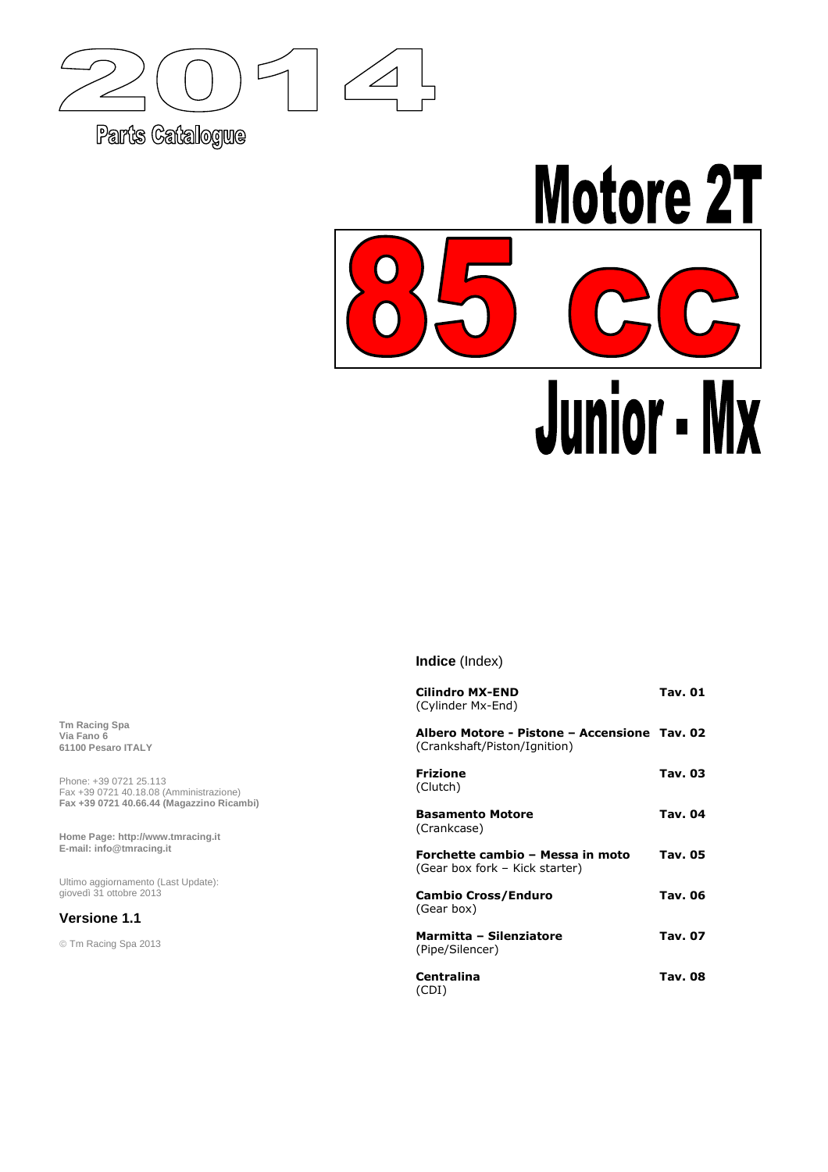

Parts Catalogue



**Indice** (Index)

| <b>Cilindro MX-END</b><br>(Cylinder Mx-End)                                  | Tav. 01        |
|------------------------------------------------------------------------------|----------------|
| Albero Motore - Pistone – Accensione Tav. 02<br>(Crankshaft/Piston/Ignition) |                |
| <b>Frizione</b><br>(Clutch)                                                  | Tav. 03        |
| <b>Basamento Motore</b><br>(Crankcase)                                       | Tav. 04        |
| Forchette cambio - Messa in moto<br>(Gear box fork - Kick starter)           | <b>Tav. 05</b> |
| <b>Cambio Cross/Enduro</b><br>(Gear box)                                     | Tav. 06        |
| Marmitta - Silenziatore<br>(Pipe/Silencer)                                   | Tav. 07        |
| <b>Centralina</b><br>(CDI)                                                   | Tav. 08        |

**Tm Racing Spa Via Fano 6 61100 Pesaro ITALY**

Phone: +39 0721 25.113 Fax +39 0721 40.18.08 (Amministrazione) **Fax +39 0721 40.66.44 (Magazzino Ricambi)** 

**Home Page: http://www.tmracing.it E-mail: info@tmracing.it**

Ultimo aggiornamento (Last Update): giovedì 31 ottobre 2013

#### **Versione 1.1**

© Tm Racing Spa 2013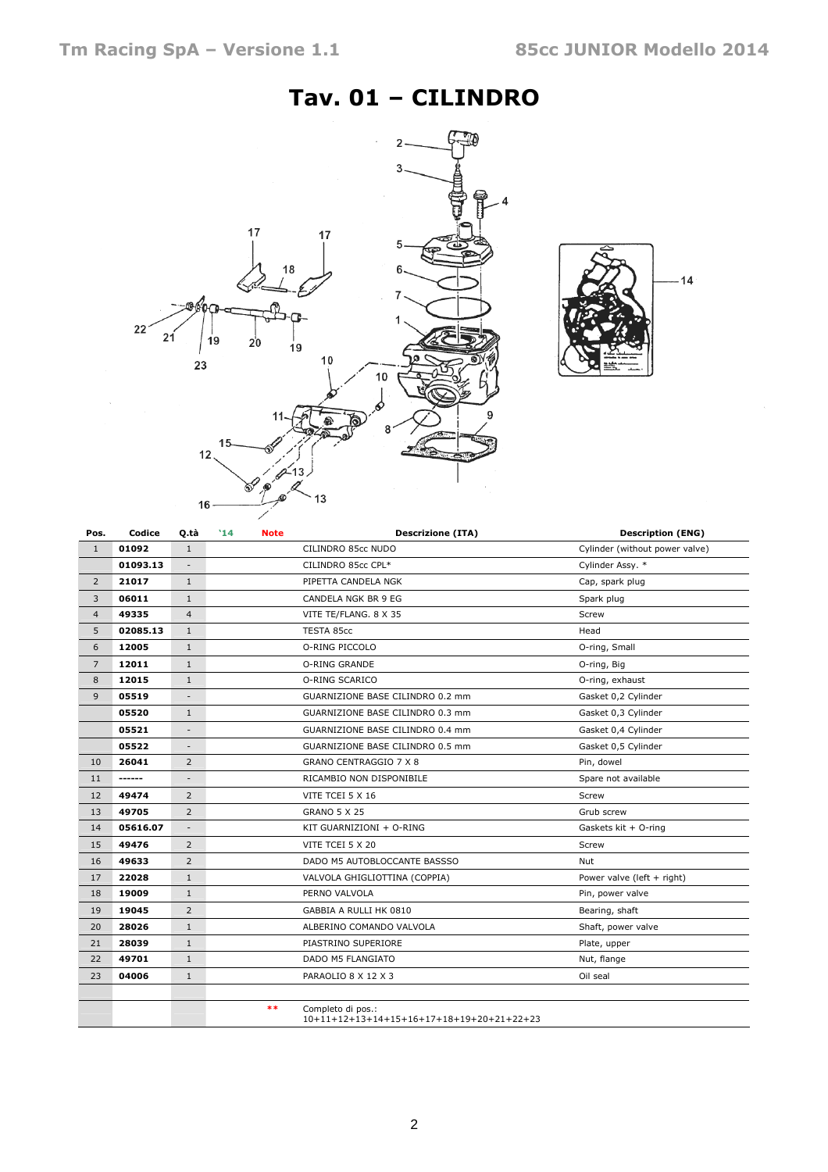# Tav. 01 – CILINDRO





| Pos.           | Codice   | Q.tà                     | '14<br><b>Note</b> | <b>Descrizione (ITA)</b>                                       | <b>Description (ENG)</b>       |
|----------------|----------|--------------------------|--------------------|----------------------------------------------------------------|--------------------------------|
| $\mathbf{1}$   | 01092    | $\mathbf{1}$             |                    | CILINDRO 85cc NUDO                                             | Cylinder (without power valve) |
|                | 01093.13 | $\overline{\phantom{a}}$ |                    | CILINDRO 85cc CPL*                                             | Cylinder Assy. *               |
| $\overline{2}$ | 21017    | $\mathbf{1}$             |                    | PIPETTA CANDELA NGK                                            | Cap, spark plug                |
| 3              | 06011    | $\mathbf{1}$             |                    | CANDELA NGK BR 9 EG                                            | Spark plug                     |
| $\overline{4}$ | 49335    | $\overline{4}$           |                    | VITE TE/FLANG. 8 X 35                                          | Screw                          |
| 5              | 02085.13 | $\mathbf{1}$             |                    | TESTA 85cc                                                     | Head                           |
| 6              | 12005    | $\mathbf{1}$             |                    | O-RING PICCOLO                                                 | O-ring, Small                  |
| $\overline{7}$ | 12011    | $\mathbf{1}$             |                    | O-RING GRANDE                                                  | O-ring, Big                    |
| 8              | 12015    | $\mathbf{1}$             |                    | O-RING SCARICO                                                 | O-ring, exhaust                |
| 9              | 05519    | -                        |                    | GUARNIZIONE BASE CILINDRO 0.2 mm                               | Gasket 0,2 Cylinder            |
|                | 05520    | $\mathbf{1}$             |                    | GUARNIZIONE BASE CILINDRO 0.3 mm                               | Gasket 0,3 Cylinder            |
|                | 05521    | $\overline{\phantom{m}}$ |                    | GUARNIZIONE BASE CILINDRO 0.4 mm                               | Gasket 0,4 Cylinder            |
|                | 05522    | $\overline{\phantom{a}}$ |                    | GUARNIZIONE BASE CILINDRO 0.5 mm                               | Gasket 0,5 Cylinder            |
| 10             | 26041    | 2                        |                    | GRANO CENTRAGGIO 7 X 8                                         | Pin, dowel                     |
| 11             | -------  | $\overline{\phantom{a}}$ |                    | RICAMBIO NON DISPONIBILE                                       | Spare not available            |
| 12             | 49474    | 2                        |                    | VITE TCEI 5 X 16                                               | Screw                          |
| 13             | 49705    | 2                        |                    | <b>GRANO 5 X 25</b>                                            | Grub screw                     |
| 14             | 05616.07 | $\overline{a}$           |                    | KIT GUARNIZIONI + O-RING                                       | Gaskets kit + O-ring           |
| 15             | 49476    | 2                        |                    | VITE TCEI 5 X 20                                               | Screw                          |
| 16             | 49633    | $\overline{2}$           |                    | DADO M5 AUTOBLOCCANTE BASSSO                                   | <b>Nut</b>                     |
| 17             | 22028    | $\mathbf{1}$             |                    | VALVOLA GHIGLIOTTINA (COPPIA)                                  | Power valve (left + right)     |
| 18             | 19009    | $\mathbf{1}$             |                    | PERNO VALVOLA                                                  | Pin, power valve               |
| 19             | 19045    | 2                        |                    | GABBIA A RULLI HK 0810                                         | Bearing, shaft                 |
| 20             | 28026    | $\mathbf{1}$             |                    | ALBERINO COMANDO VALVOLA                                       | Shaft, power valve             |
| 21             | 28039    | $\mathbf{1}$             |                    | PIASTRINO SUPERIORE                                            | Plate, upper                   |
| 22             | 49701    | $\mathbf{1}$             |                    | <b>DADO M5 FLANGIATO</b>                                       | Nut, flange                    |
| 23             | 04006    | $\mathbf{1}$             |                    | PARAOLIO 8 X 12 X 3                                            | Oil seal                       |
|                |          |                          | $***$              | Completo di pos.:<br>10+11+12+13+14+15+16+17+18+19+20+21+22+23 |                                |

####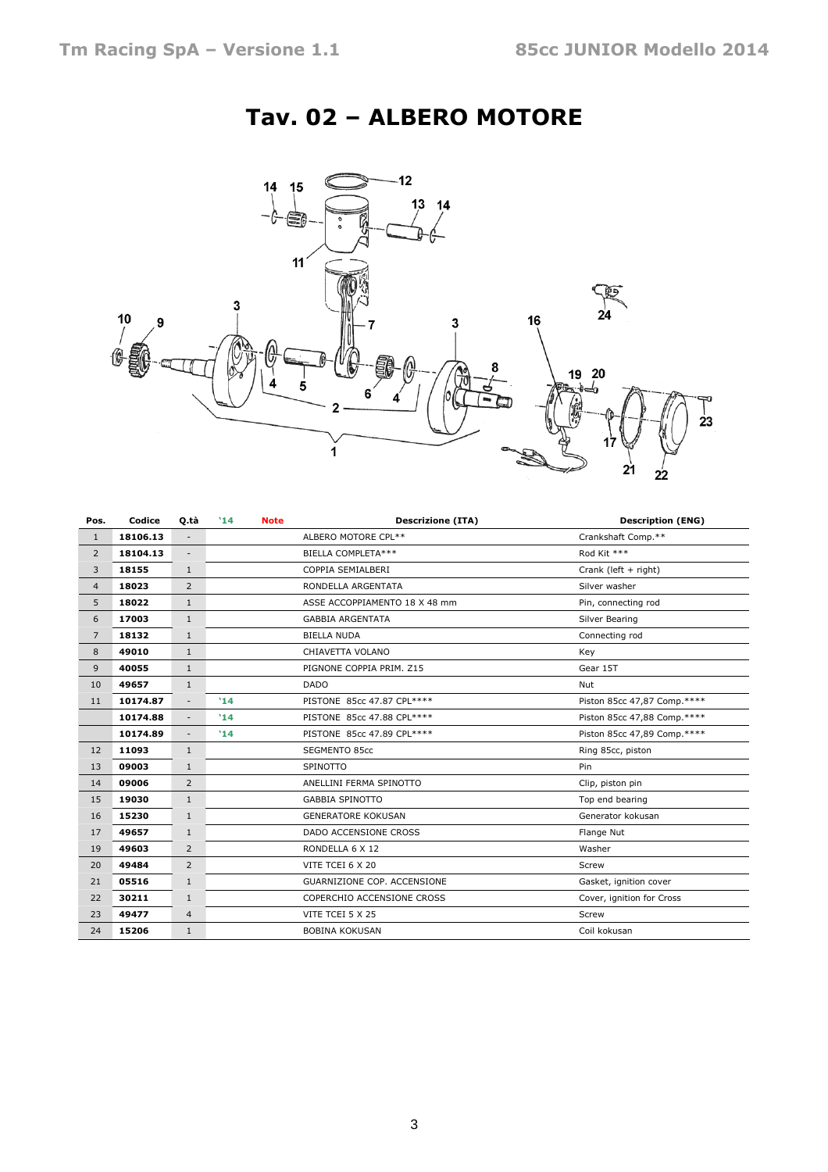# Tav. 02 – ALBERO MOTORE



| Pos.           | Codice   | 0.tà                     | '14      | <b>Note</b> | <b>Descrizione (ITA)</b>           | <b>Description (ENG)</b>    |
|----------------|----------|--------------------------|----------|-------------|------------------------------------|-----------------------------|
| $\mathbf{1}$   | 18106.13 | $\overline{\phantom{a}}$ |          |             | ALBERO MOTORE CPL**                | Crankshaft Comp.**          |
| $\overline{2}$ | 18104.13 | $\overline{\phantom{a}}$ |          |             | BIELLA COMPLETA***                 | Rod Kit ***                 |
| 3              | 18155    | $\mathbf{1}$             |          |             | COPPIA SEMIALBERI                  | Crank (left + right)        |
| $\overline{4}$ | 18023    | $\overline{2}$           |          |             | RONDELLA ARGENTATA                 | Silver washer               |
| 5              | 18022    | $\mathbf{1}$             |          |             | ASSE ACCOPPIAMENTO 18 X 48 mm      | Pin, connecting rod         |
| 6              | 17003    | $\mathbf{1}$             |          |             | <b>GABBIA ARGENTATA</b>            | Silver Bearing              |
| $\overline{7}$ | 18132    | $\mathbf{1}$             |          |             | <b>BIELLA NUDA</b>                 | Connecting rod              |
| 8              | 49010    | $\mathbf{1}$             |          |             | CHIAVETTA VOLANO                   | Key                         |
| 9              | 40055    | $\mathbf{1}$             |          |             | PIGNONE COPPIA PRIM. Z15           | Gear 15T                    |
| 10             | 49657    | $\mathbf{1}$             |          |             | <b>DADO</b>                        | Nut                         |
| 11             | 10174.87 | $\overline{\phantom{a}}$ | 14       |             | PISTONE 85cc 47.87 CPL****         | Piston 85cc 47,87 Comp.**** |
|                | 10174.88 | $\overline{\phantom{a}}$ | '14      |             | PISTONE 85cc 47.88 CPL****         | Piston 85cc 47,88 Comp.**** |
|                | 10174.89 | $\overline{\phantom{a}}$ | '14      |             | PISTONE 85cc 47.89 CPL****         | Piston 85cc 47,89 Comp.**** |
| 12             | 11093    | $\mathbf{1}$             |          |             | <b>SEGMENTO 85cc</b>               | Ring 85cc, piston           |
| 13             | 09003    | $\mathbf{1}$             | SPINOTTO |             |                                    | Pin                         |
| 14             | 09006    | 2                        |          |             | ANELLINI FERMA SPINOTTO            | Clip, piston pin            |
| 15             | 19030    | $\mathbf{1}$             |          |             | <b>GABBIA SPINOTTO</b>             | Top end bearing             |
| 16             | 15230    | $\mathbf{1}$             |          |             | <b>GENERATORE KOKUSAN</b>          | Generator kokusan           |
| 17             | 49657    | $\mathbf{1}$             |          |             | DADO ACCENSIONE CROSS              | Flange Nut                  |
| 19             | 49603    | $\overline{2}$           |          |             | RONDELLA 6 X 12                    | Washer                      |
| 20             | 49484    | 2                        |          |             | VITE TCEI 6 X 20                   | Screw                       |
| 21             | 05516    | $\mathbf{1}$             |          |             | <b>GUARNIZIONE COP. ACCENSIONE</b> | Gasket, ignition cover      |
| 22             | 30211    | $\mathbf{1}$             |          |             | COPERCHIO ACCENSIONE CROSS         | Cover, ignition for Cross   |
| 23             | 49477    | $\overline{4}$           |          |             | VITE TCEI 5 X 25                   | Screw                       |
| 24             | 15206    | $\mathbf{1}$             |          |             | <b>BOBINA KOKUSAN</b>              | Coil kokusan                |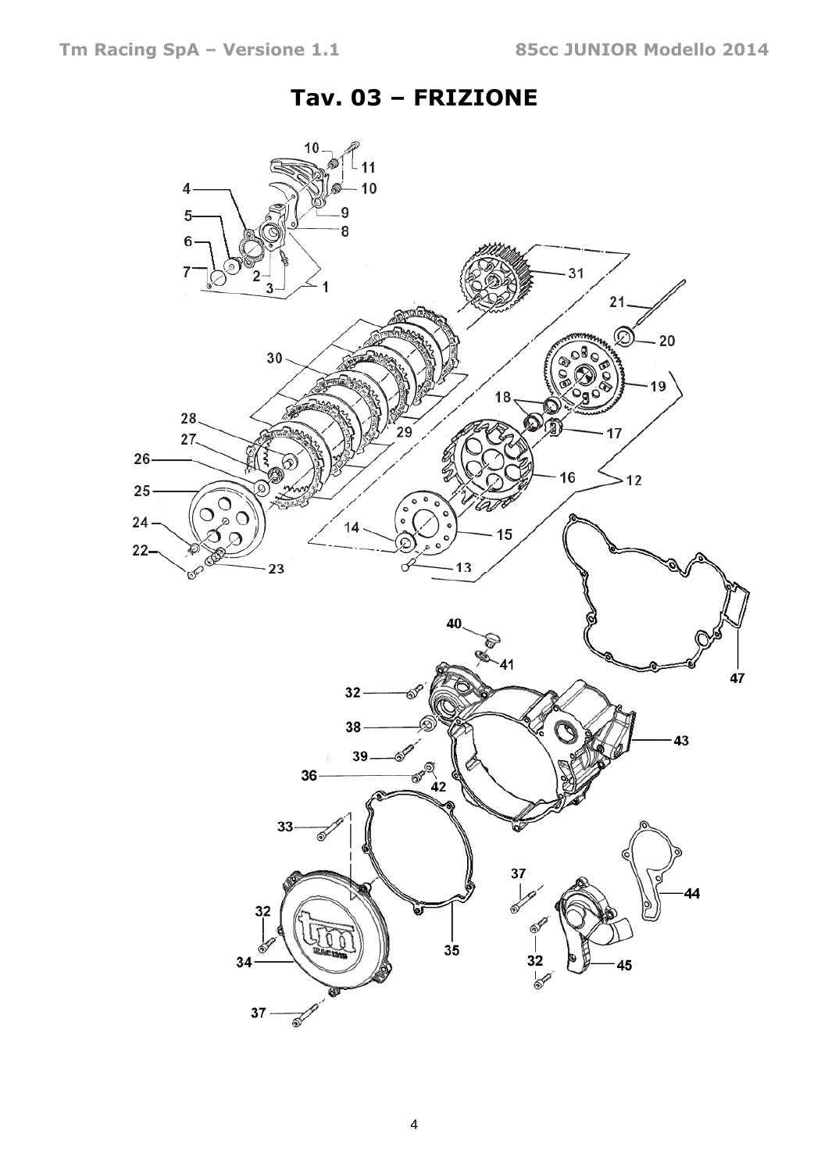### Tav. 03 – FRIZIONE

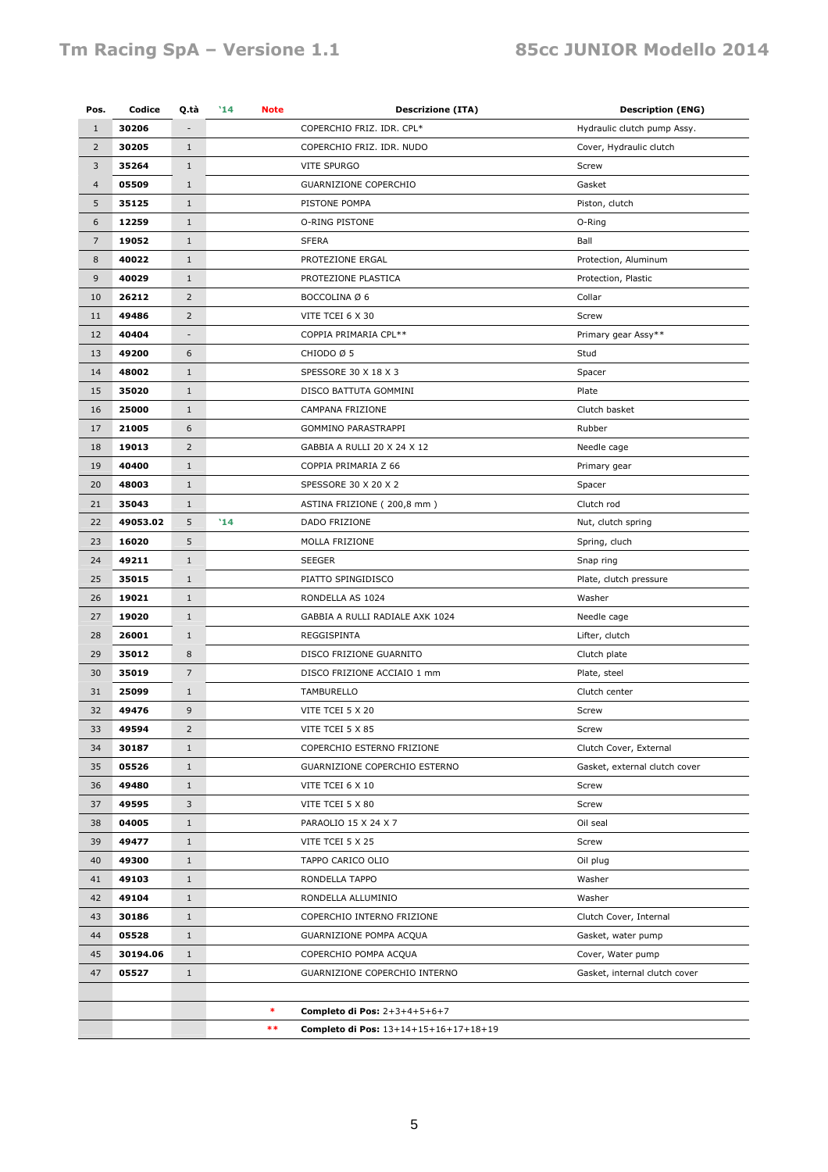| Pos.           | Codice   | Q.tà           | '14<br><b>Note</b> | <b>Descrizione (ITA)</b>              | <b>Description (ENG)</b>      |
|----------------|----------|----------------|--------------------|---------------------------------------|-------------------------------|
| $\mathbf{1}$   | 30206    |                |                    | COPERCHIO FRIZ. IDR. CPL*             | Hydraulic clutch pump Assy.   |
| $\overline{2}$ | 30205    | $1\,$          |                    | COPERCHIO FRIZ. IDR. NUDO             | Cover, Hydraulic clutch       |
| $\mathbf{3}$   | 35264    | $\mathbf{1}$   |                    | VITE SPURGO                           | Screw                         |
| $\overline{4}$ | 05509    | $\mathbf{1}$   |                    | <b>GUARNIZIONE COPERCHIO</b>          | Gasket                        |
| 5              | 35125    | $\mathbf{1}$   |                    | PISTONE POMPA                         | Piston, clutch                |
| 6              | 12259    | $\mathbf{1}$   |                    | O-RING PISTONE                        | O-Ring                        |
| $\overline{7}$ | 19052    | $1\,$          |                    | <b>SFERA</b>                          | Ball                          |
| 8              | 40022    | $\mathbf{1}$   |                    | PROTEZIONE ERGAL                      | Protection, Aluminum          |
| 9              | 40029    | $1\,$          |                    | PROTEZIONE PLASTICA                   | Protection, Plastic           |
| 10             | 26212    | 2              |                    | BOCCOLINA Ø 6                         | Collar                        |
| 11             | 49486    | 2              |                    | VITE TCEI 6 X 30                      | Screw                         |
| 12             | 40404    | ٠              |                    | COPPIA PRIMARIA CPL**                 | Primary gear Assy**           |
| 13             | 49200    | 6              |                    | CHIODO Ø 5                            | Stud                          |
| 14             | 48002    | $\mathbf{1}$   |                    | SPESSORE 30 X 18 X 3                  | Spacer                        |
| 15             | 35020    | $\mathbf{1}$   |                    | DISCO BATTUTA GOMMINI                 | Plate                         |
| 16             | 25000    | $\mathbf{1}$   |                    | CAMPANA FRIZIONE                      | Clutch basket                 |
| 17             | 21005    | 6              |                    | GOMMINO PARASTRAPPI                   | Rubber                        |
| 18             | 19013    | 2              |                    | GABBIA A RULLI 20 X 24 X 12           | Needle cage                   |
| 19             | 40400    | $\mathbf{1}$   |                    | COPPIA PRIMARIA Z 66                  | Primary gear                  |
| 20             | 48003    | $\mathbf{1}$   |                    | SPESSORE 30 X 20 X 2                  | Spacer                        |
| 21             | 35043    | $\mathbf{1}$   |                    | ASTINA FRIZIONE (200,8 mm)            | Clutch rod                    |
| 22             | 49053.02 | 5              | '14                | DADO FRIZIONE                         | Nut, clutch spring            |
| 23             | 16020    | 5              |                    | MOLLA FRIZIONE                        | Spring, cluch                 |
| 24             | 49211    | $\mathbf{1}$   |                    | <b>SEEGER</b>                         | Snap ring                     |
| 25             | 35015    | $\mathbf{1}$   |                    | PIATTO SPINGIDISCO                    | Plate, clutch pressure        |
| 26             | 19021    | $\mathbf{1}$   |                    | RONDELLA AS 1024                      | Washer                        |
| 27             | 19020    | $\mathbf{1}$   |                    | GABBIA A RULLI RADIALE AXK 1024       | Needle cage                   |
| 28             | 26001    | $\mathbf{1}$   |                    | REGGISPINTA                           | Lifter, clutch                |
| 29             | 35012    | 8              |                    | DISCO FRIZIONE GUARNITO               | Clutch plate                  |
| 30             | 35019    | 7              |                    | DISCO FRIZIONE ACCIAIO 1 mm           | Plate, steel                  |
| 31             | 25099    | $\mathbf{1}$   |                    | TAMBURELLO                            | Clutch center                 |
| 32             | 49476    | 9              |                    | VITE TCEI 5 X 20                      | Screw                         |
| 33             | 49594    | $\overline{2}$ |                    | VITE TCEI 5 X 85                      | Screw                         |
| 34             | 30187    | $\mathbf{1}$   |                    | COPERCHIO ESTERNO FRIZIONE            | Clutch Cover, External        |
| 35             | 05526    | $1\,$          |                    | GUARNIZIONE COPERCHIO ESTERNO         | Gasket, external clutch cover |
| 36             | 49480    | $\mathbf{1}$   |                    | VITE TCEI 6 X 10                      | Screw                         |
| 37             | 49595    | 3              |                    | VITE TCEI 5 X 80                      | Screw                         |
| 38             | 04005    | $\mathbf{1}$   |                    | PARAOLIO 15 X 24 X 7                  | Oil seal                      |
| 39             | 49477    | $\mathbf{1}$   |                    | VITE TCEI 5 X 25                      | Screw                         |
| 40             | 49300    | $\mathbf{1}$   |                    | TAPPO CARICO OLIO                     | Oil plug                      |
| 41             | 49103    | $1\,$          |                    | RONDELLA TAPPO                        | Washer                        |
| 42             | 49104    | $\mathbf{1}$   |                    | RONDELLA ALLUMINIO                    | Washer                        |
| 43             | 30186    | $1\,$          |                    | COPERCHIO INTERNO FRIZIONE            | Clutch Cover, Internal        |
| 44             | 05528    | $\mathbf{1}$   |                    | GUARNIZIONE POMPA ACQUA               | Gasket, water pump            |
| 45             | 30194.06 | $1\,$          |                    | COPERCHIO POMPA ACQUA                 | Cover, Water pump             |
| 47             | 05527    | $\mathbf{1}$   |                    | GUARNIZIONE COPERCHIO INTERNO         | Gasket, internal clutch cover |
|                |          |                |                    |                                       |                               |
|                |          |                | $\ast$             | Completo di Pos: 2+3+4+5+6+7          |                               |
|                |          |                | $***$              | Completo di Pos: 13+14+15+16+17+18+19 |                               |
|                |          |                |                    |                                       |                               |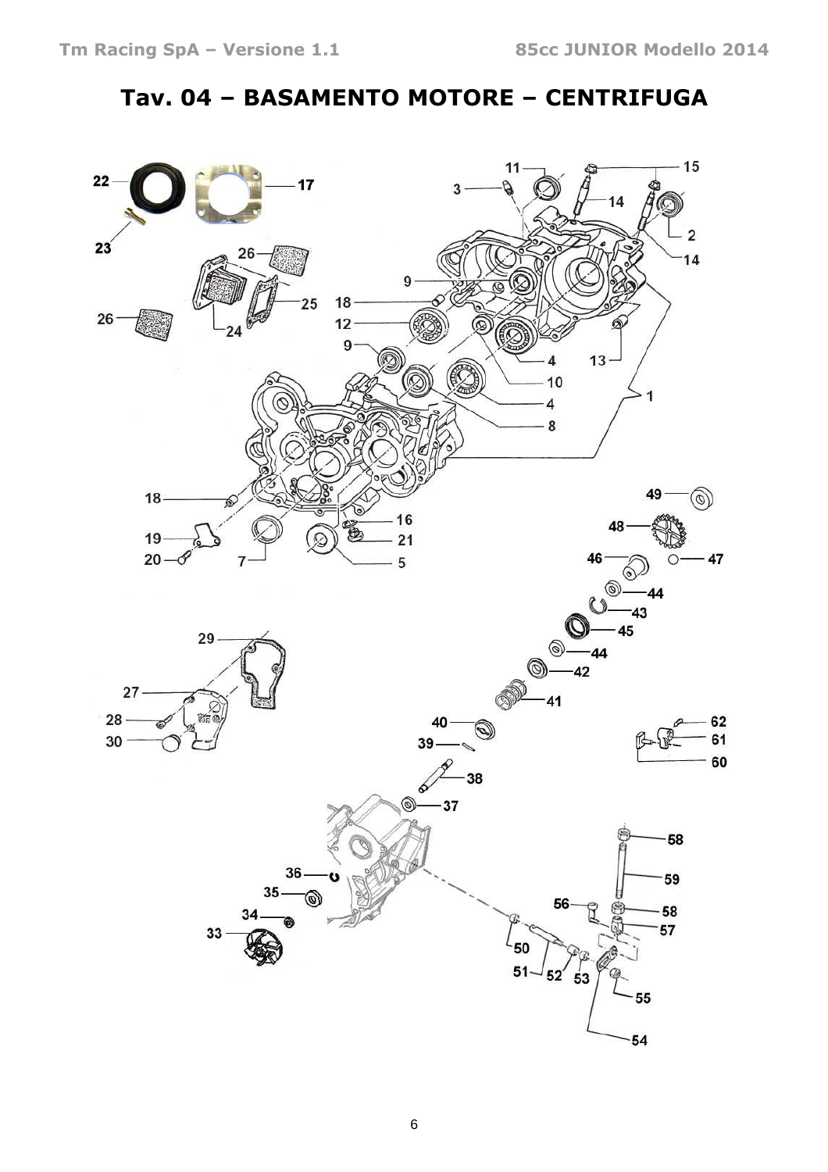## Tav. 04 – BASAMENTO MOTORE – CENTRIFUGA

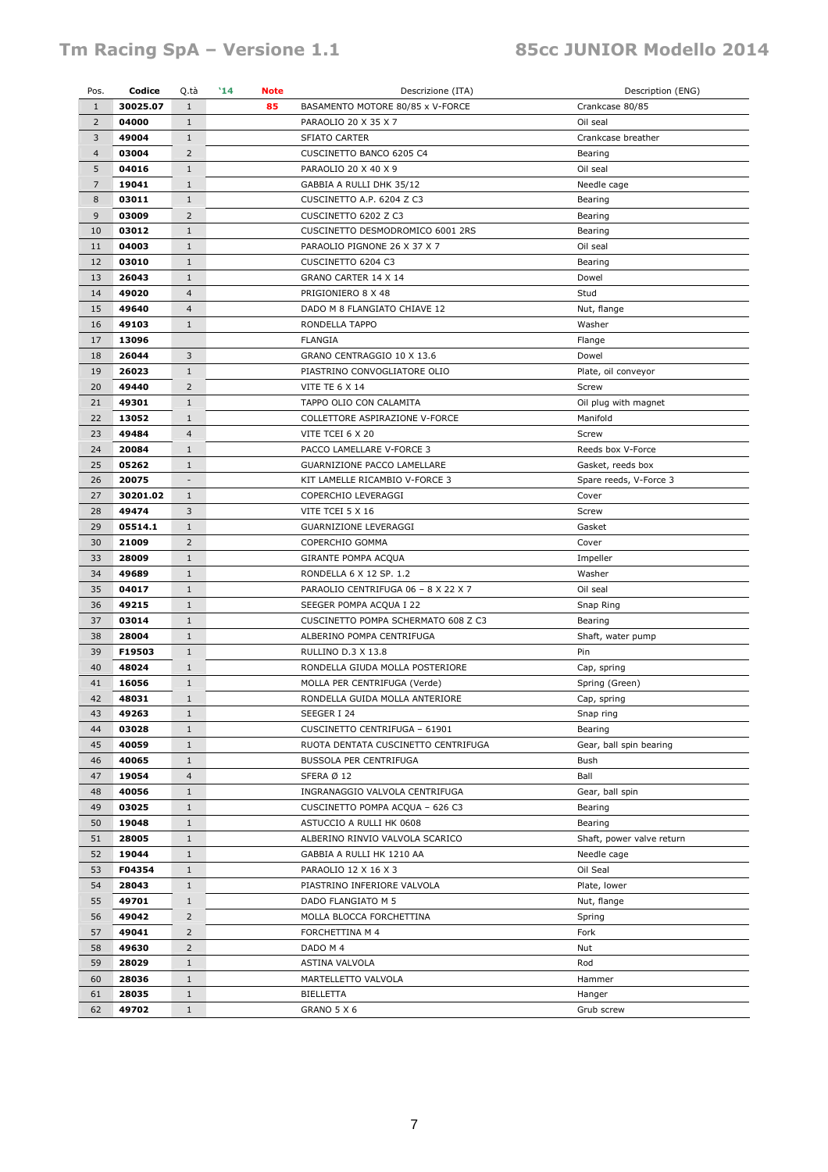#### Tm Racing SpA - Versione 1.1 85cc JUNIOR Modello 2014

| Pos.           | Codice   | Q.tà                     | $^{\prime}14$<br><b>Note</b> |  | Descrizione (ITA)                   | Description (ENG)         |
|----------------|----------|--------------------------|------------------------------|--|-------------------------------------|---------------------------|
| $\mathbf{1}$   | 30025.07 | $\mathbf{1}$             | 85                           |  | BASAMENTO MOTORE 80/85 x V-FORCE    | Crankcase 80/85           |
| $\overline{2}$ | 04000    | $\mathbf{1}$             |                              |  | PARAOLIO 20 X 35 X 7                | Oil seal                  |
| 3              | 49004    | $\mathbf{1}$             |                              |  | SFIATO CARTER                       | Crankcase breather        |
| $\overline{4}$ | 03004    | $\overline{2}$           |                              |  | CUSCINETTO BANCO 6205 C4            | Bearing                   |
| 5              | 04016    | $\mathbf{1}$             |                              |  | PARAOLIO 20 X 40 X 9                | Oil seal                  |
| $\overline{7}$ | 19041    | 1                        |                              |  | GABBIA A RULLI DHK 35/12            | Needle cage               |
| 8              | 03011    | $\mathbf{1}$             |                              |  | CUSCINETTO A.P. 6204 Z C3           | Bearing                   |
| 9              | 03009    | $\overline{2}$           |                              |  | CUSCINETTO 6202 Z C3                | Bearing                   |
| 10             | 03012    | $\mathbf{1}$             |                              |  | CUSCINETTO DESMODROMICO 6001 2RS    | Bearing                   |
| 11             | 04003    | $\mathbf{1}$             |                              |  | PARAOLIO PIGNONE 26 X 37 X 7        | Oil seal                  |
| 12             | 03010    | $\mathbf{1}$             |                              |  | CUSCINETTO 6204 C3                  | Bearing                   |
| 13             | 26043    | $\mathbf{1}$             |                              |  | GRANO CARTER 14 X 14                | Dowel                     |
| 14             | 49020    | $\overline{4}$           |                              |  | PRIGIONIERO 8 X 48                  | Stud                      |
| 15             | 49640    | $\overline{4}$           |                              |  | DADO M 8 FLANGIATO CHIAVE 12        | Nut, flange               |
| 16             | 49103    | $\mathbf{1}$             |                              |  | RONDELLA TAPPO                      | Washer                    |
| 17             | 13096    |                          |                              |  | <b>FLANGIA</b>                      | Flange                    |
| 18             | 26044    | 3                        |                              |  | GRANO CENTRAGGIO 10 X 13.6          | Dowel                     |
| 19             | 26023    | $\mathbf{1}$             |                              |  | PIASTRINO CONVOGLIATORE OLIO        | Plate, oil conveyor       |
| 20             | 49440    | $\overline{2}$           |                              |  | <b>VITE TE 6 X 14</b>               | Screw                     |
| 21             | 49301    | $\mathbf{1}$             |                              |  | TAPPO OLIO CON CALAMITA             | Oil plug with magnet      |
| 22             | 13052    | 1                        |                              |  | COLLETTORE ASPIRAZIONE V-FORCE      | Manifold                  |
| 23             | 49484    | $\overline{4}$           |                              |  | VITE TCEI 6 X 20                    | Screw                     |
| 24             | 20084    | $\mathbf{1}$             |                              |  | PACCO LAMELLARE V-FORCE 3           | Reeds box V-Force         |
| 25             | 05262    | $\mathbf{1}$             |                              |  | GUARNIZIONE PACCO LAMELLARE         | Gasket, reeds box         |
| 26             | 20075    | $\overline{\phantom{a}}$ |                              |  | KIT LAMELLE RICAMBIO V-FORCE 3      | Spare reeds, V-Force 3    |
| 27             | 30201.02 | $\mathbf{1}$             |                              |  | COPERCHIO LEVERAGGI                 | Cover                     |
| 28             | 49474    | 3                        |                              |  | VITE TCEI 5 X 16                    | Screw                     |
| 29             | 05514.1  | $\mathbf{1}$             |                              |  | GUARNIZIONE LEVERAGGI               | Gasket                    |
| 30             | 21009    | 2                        |                              |  | COPERCHIO GOMMA                     | Cover                     |
| 33             | 28009    | $\mathbf{1}$             |                              |  | GIRANTE POMPA ACQUA                 | Impeller                  |
| 34             | 49689    | $\mathbf{1}$             |                              |  | RONDELLA 6 X 12 SP. 1.2             | Washer                    |
| 35             | 04017    | $\mathbf{1}$             |                              |  | PARAOLIO CENTRIFUGA 06 - 8 X 22 X 7 | Oil seal                  |
| 36             | 49215    | $\mathbf{1}$             |                              |  | SEEGER POMPA ACQUA I 22             | Snap Ring                 |
| 37             | 03014    | $\mathbf{1}$             |                              |  | CUSCINETTO POMPA SCHERMATO 608 Z C3 | Bearing                   |
| 38             | 28004    | $\mathbf{1}$             |                              |  | ALBERINO POMPA CENTRIFUGA           | Shaft, water pump         |
| 39             | F19503   | $\mathbf{1}$             |                              |  | RULLINO D.3 X 13.8                  | Pin                       |
| 40             | 48024    | $\mathbf{1}$             |                              |  | RONDELLA GIUDA MOLLA POSTERIORE     | Cap, spring               |
| 41             | 16056    | $\mathbf{1}$             |                              |  | MOLLA PER CENTRIFUGA (Verde)        | Spring (Green)            |
| 42             | 48031    | $\mathbf{1}$             |                              |  | RONDELLA GUIDA MOLLA ANTERIORE      | Cap, spring               |
| 43             | 49263    | $\mathbf{1}$             |                              |  | SEEGER I 24                         | Snap ring                 |
| 44             | 03028    | $\mathbf{1}$             |                              |  | CUSCINETTO CENTRIFUGA - 61901       | Bearing                   |
| 45             | 40059    | $\mathbf{1}$             |                              |  | RUOTA DENTATA CUSCINETTO CENTRIFUGA | Gear, ball spin bearing   |
| 46             | 40065    | $\mathbf{1}$             |                              |  | BUSSOLA PER CENTRIFUGA              | Bush                      |
| 47             | 19054    | $\overline{4}$           |                              |  | SFERA Ø 12                          | Ball                      |
| 48             | 40056    | $\mathbf{1}$             |                              |  | INGRANAGGIO VALVOLA CENTRIFUGA      | Gear, ball spin           |
| 49             | 03025    | $\mathbf{1}$             |                              |  | CUSCINETTO POMPA ACQUA - 626 C3     | Bearing                   |
| 50             | 19048    | $\mathbf{1}$             |                              |  | ASTUCCIO A RULLI HK 0608            | Bearing                   |
| 51             | 28005    | $\mathbf{1}$             |                              |  | ALBERINO RINVIO VALVOLA SCARICO     | Shaft, power valve return |
| 52             | 19044    | $\mathbf{1}$             |                              |  | GABBIA A RULLI HK 1210 AA           | Needle cage               |
| 53             | F04354   | $\mathbf{1}$             |                              |  | PARAOLIO 12 X 16 X 3                | Oil Seal                  |
| 54             | 28043    | $\mathbf{1}$             |                              |  | PIASTRINO INFERIORE VALVOLA         | Plate, lower              |
| 55             | 49701    | $\mathbf{1}$             |                              |  | DADO FLANGIATO M 5                  | Nut, flange               |
| 56             | 49042    | $\overline{2}$           |                              |  | MOLLA BLOCCA FORCHETTINA            | Spring                    |
| 57             | 49041    | $\overline{2}$           |                              |  | FORCHETTINA M 4                     | Fork                      |
| 58             | 49630    | $\overline{2}$           |                              |  | DADO M 4                            | Nut                       |
| 59             | 28029    | $\mathbf{1}$             |                              |  | ASTINA VALVOLA                      | Rod                       |
| 60             | 28036    | $\mathbf{1}$             |                              |  | MARTELLETTO VALVOLA                 | Hammer                    |
| 61             | 28035    | $\mathbf{1}$             |                              |  | BIELLETTA                           | Hanger                    |
| 62             | 49702    | $\mathbf{1}$             |                              |  | GRANO 5 X 6                         | Grub screw                |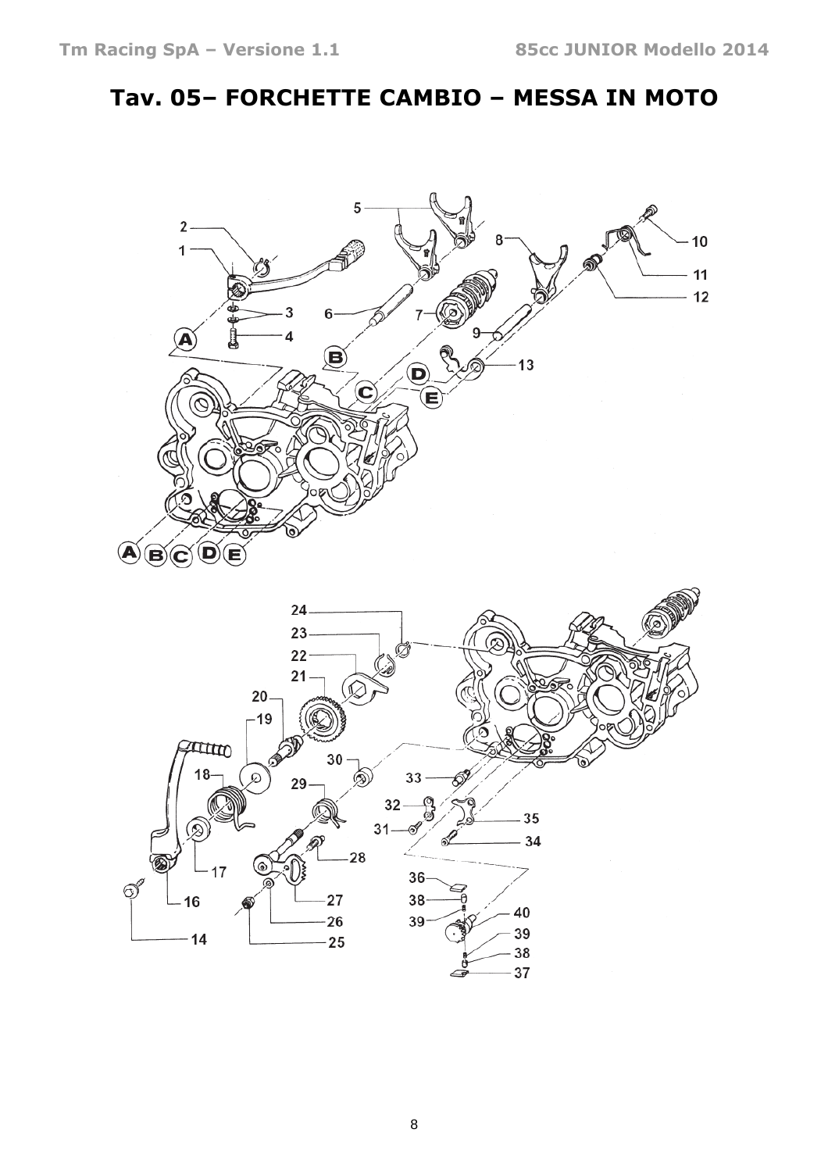## Tav. 05– FORCHETTE CAMBIO – MESSA IN MOTO

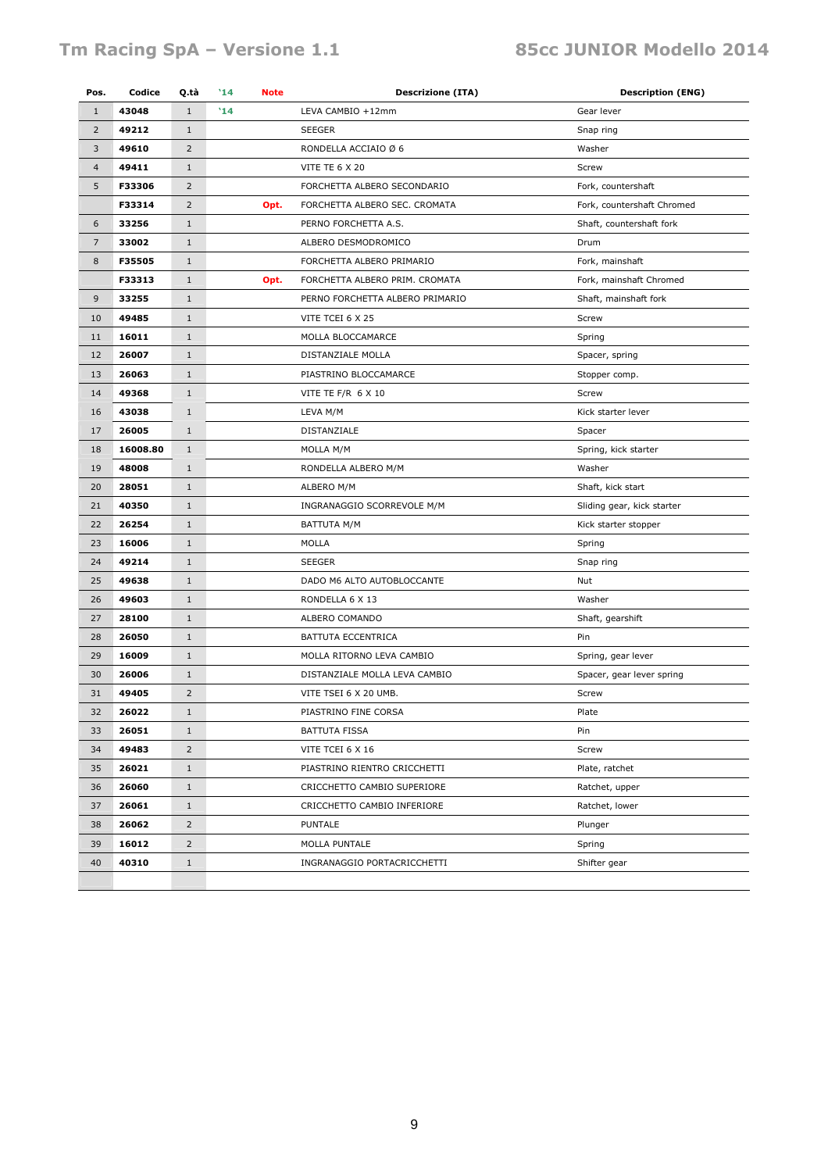#### Tm Racing SpA - Versione 1.1 85cc JUNIOR Modello 2014

| Pos.           | Codice   | Q.tà           | $^{\prime}14$<br><b>Note</b> | <b>Descrizione (ITA)</b>        | <b>Description (ENG)</b>   |
|----------------|----------|----------------|------------------------------|---------------------------------|----------------------------|
| $\mathbf{1}$   | 43048    | $\mathbf{1}$   | '14                          | LEVA CAMBIO +12mm               | Gear lever                 |
| $\overline{2}$ | 49212    | $\mathbf{1}$   |                              | <b>SEEGER</b>                   | Snap ring                  |
| 3              | 49610    | 2              |                              | RONDELLA ACCIAIO Ø 6            | Washer                     |
| $\overline{4}$ | 49411    | $\mathbf{1}$   |                              | <b>VITE TE 6 X 20</b>           | Screw                      |
| 5              | F33306   | $\overline{2}$ |                              | FORCHETTA ALBERO SECONDARIO     | Fork, countershaft         |
|                | F33314   | $\overline{2}$ | Opt.                         | FORCHETTA ALBERO SEC. CROMATA   | Fork, countershaft Chromed |
| 6              | 33256    | $\mathbf{1}$   |                              | PERNO FORCHETTA A.S.            | Shaft, countershaft fork   |
| $\overline{7}$ | 33002    | $\mathbf{1}$   |                              | ALBERO DESMODROMICO             | Drum                       |
| 8              | F35505   | $1\,$          |                              | FORCHETTA ALBERO PRIMARIO       | Fork, mainshaft            |
|                | F33313   | $1\,$<br>Opt.  |                              | FORCHETTA ALBERO PRIM. CROMATA  | Fork, mainshaft Chromed    |
| 9              | 33255    | $1\,$          |                              | PERNO FORCHETTA ALBERO PRIMARIO | Shaft, mainshaft fork      |
| 10             | 49485    | $\mathbf{1}$   |                              | VITE TCEI 6 X 25                | Screw                      |
| 11             | 16011    | $1\,$          |                              | MOLLA BLOCCAMARCE               | Spring                     |
| 12             | 26007    | $\mathbf{1}$   |                              | DISTANZIALE MOLLA               | Spacer, spring             |
| 13             | 26063    | $1\,$          |                              | PIASTRINO BLOCCAMARCE           | Stopper comp.              |
| 14             | 49368    | $1\,$          |                              | VITE TE F/R 6 X 10              | Screw                      |
| 16             | 43038    | $1\,$          |                              | LEVA M/M                        | Kick starter lever         |
| 17             | 26005    | $1\,$          |                              | DISTANZIALE                     | Spacer                     |
| 18             | 16008.80 | $\mathbf{1}$   |                              | MOLLA M/M                       | Spring, kick starter       |
| 19             | 48008    | $\mathbf{1}$   |                              | RONDELLA ALBERO M/M             | Washer                     |
| 20             | 28051    | $1\,$          |                              | ALBERO M/M                      | Shaft, kick start          |
| 21             | 40350    | $\mathbf{1}$   |                              | INGRANAGGIO SCORREVOLE M/M      | Sliding gear, kick starter |
| 22             | 26254    | $\mathbf{1}$   |                              | BATTUTA M/M                     | Kick starter stopper       |
| 23             | 16006    | $1\,$          |                              | <b>MOLLA</b>                    | Spring                     |
| 24             | 49214    | $1\,$          |                              | <b>SEEGER</b>                   | Snap ring                  |
| 25             | 49638    | $\mathbf{1}$   |                              | DADO M6 ALTO AUTOBLOCCANTE      | Nut                        |
| 26             | 49603    | $\mathbf{1}$   |                              | RONDELLA 6 X 13                 | Washer                     |
| 27             | 28100    | $\mathbf{1}$   |                              | ALBERO COMANDO                  | Shaft, gearshift           |
| 28             | 26050    | $1\,$          |                              | BATTUTA ECCENTRICA              | Pin                        |
| 29             | 16009    | $\mathbf{1}$   |                              | MOLLA RITORNO LEVA CAMBIO       | Spring, gear lever         |
| 30             | 26006    | $\mathbf{1}$   |                              | DISTANZIALE MOLLA LEVA CAMBIO   | Spacer, gear lever spring  |
| 31             | 49405    | $\overline{2}$ |                              | VITE TSEI 6 X 20 UMB.           | Screw                      |
| 32             | 26022    | $\mathbf 1$    |                              | PIASTRINO FINE CORSA            | Plate                      |
| 33             | 26051    | $\mathbf{1}$   |                              | BATTUTA FISSA                   | Pin                        |
| 34             | 49483    | $\overline{2}$ |                              | VITE TCEI 6 X 16                | Screw                      |
| 35             | 26021    | $1\,$          |                              | PIASTRINO RIENTRO CRICCHETTI    | Plate, ratchet             |
| 36             | 26060    | $1\,$          |                              | CRICCHETTO CAMBIO SUPERIORE     | Ratchet, upper             |
| 37             | 26061    | $1\,$          |                              | CRICCHETTO CAMBIO INFERIORE     | Ratchet, lower             |
| 38             | 26062    | $\overline{2}$ |                              | <b>PUNTALE</b>                  | Plunger                    |
| 39             | 16012    | $\overline{2}$ |                              | MOLLA PUNTALE                   | Spring                     |
| 40             | 40310    | $1\,$          |                              | INGRANAGGIO PORTACRICCHETTI     | Shifter gear               |
|                |          |                |                              |                                 |                            |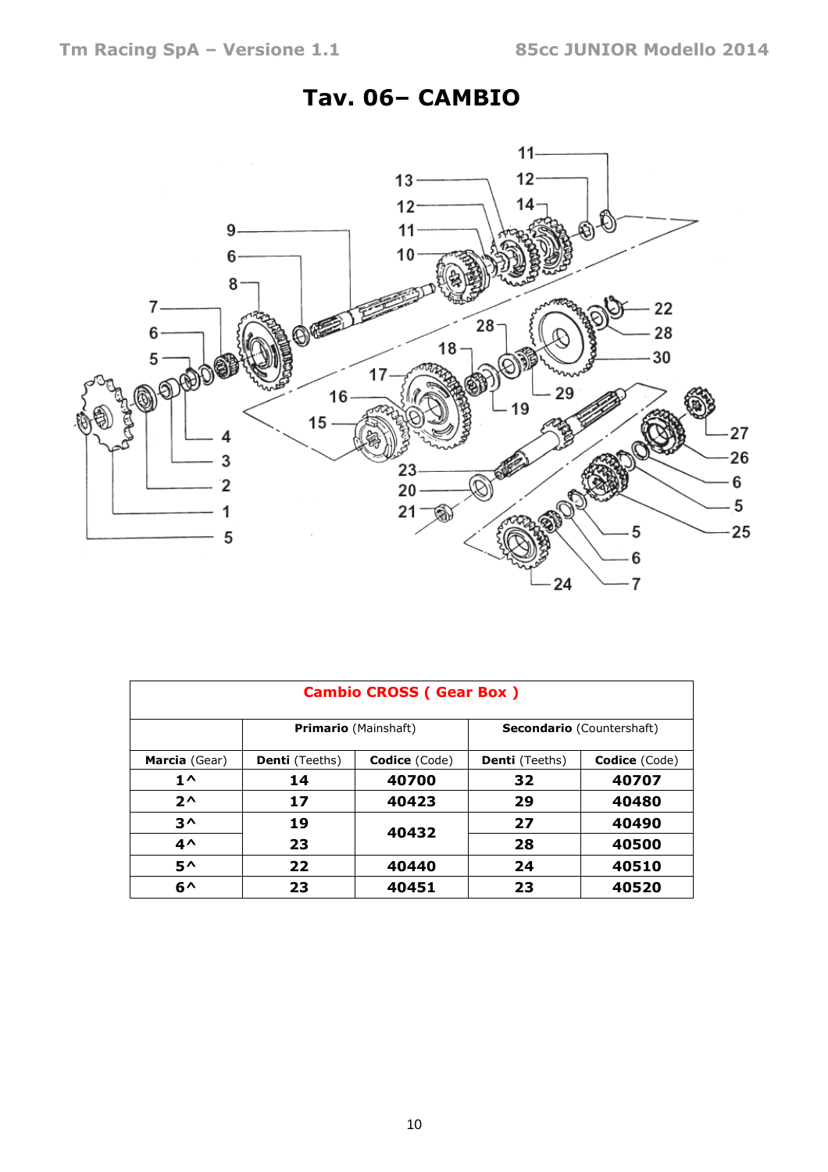#### Tav. 06– CAMBIO



|               |                       | <b>Cambio CROSS (Gear Box)</b> |                                  |               |  |  |
|---------------|-----------------------|--------------------------------|----------------------------------|---------------|--|--|
|               |                       | <b>Primario</b> (Mainshaft)    | <b>Secondario</b> (Countershaft) |               |  |  |
| Marcia (Gear) | <b>Denti</b> (Teeths) | <b>Codice</b> (Code)           | <b>Denti</b> (Teeths)            | Codice (Code) |  |  |
| $1^{\wedge}$  | 14                    | 40700                          | 32                               | 40707         |  |  |
| $2^{\wedge}$  | 17                    | 40423                          | 29                               | 40480         |  |  |
| $3^{\wedge}$  | 19                    | 40432                          | 27                               | 40490         |  |  |
| $4^{\wedge}$  | 23                    |                                | 28                               | 40500         |  |  |
| $5^{\wedge}$  | 22                    | 40440                          | 24                               | 40510         |  |  |
| $6^{\wedge}$  | 23                    | 40451                          | 23                               | 40520         |  |  |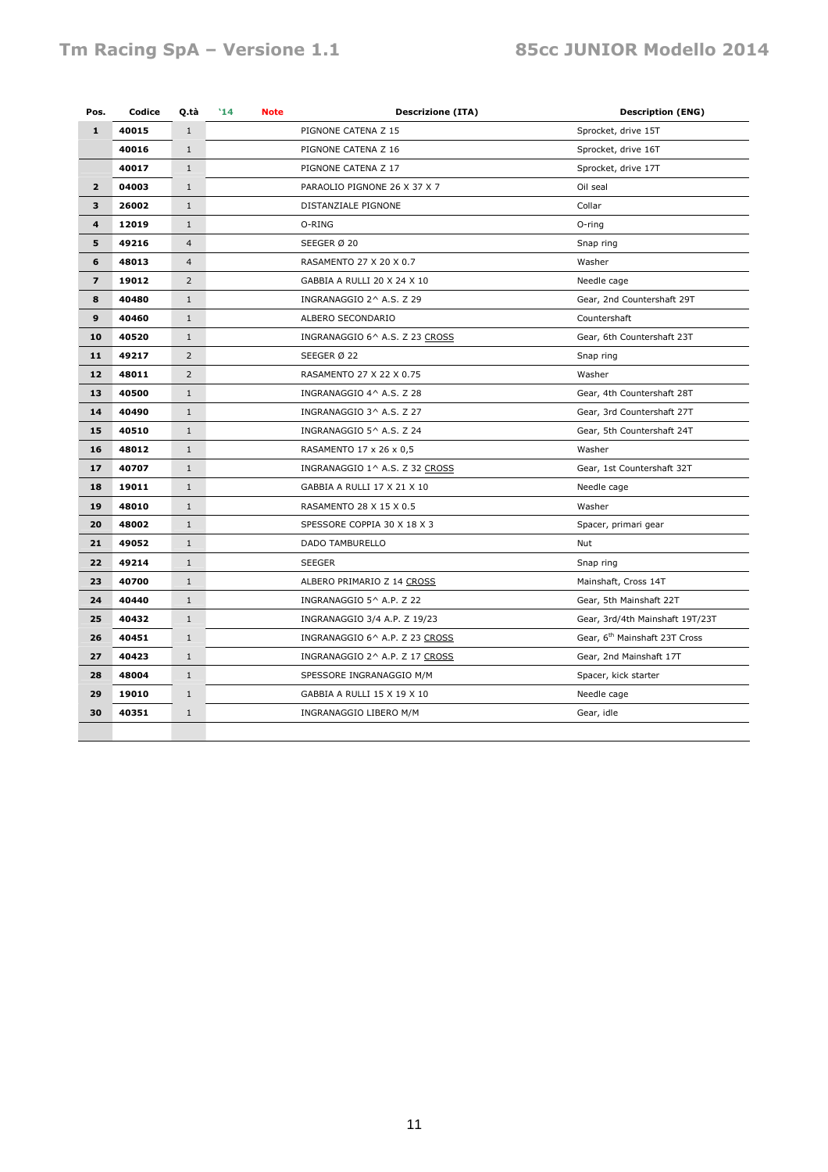#### Tm Racing SpA - Versione 1.1 85cc JUNIOR Modello 2014

| Pos.                    | Codice | Q.tà           | $^{\prime}14$ | <b>Note</b> | <b>Descrizione (ITA)</b>       | <b>Description (ENG)</b>                  |
|-------------------------|--------|----------------|---------------|-------------|--------------------------------|-------------------------------------------|
| $\mathbf{1}$            | 40015  | $\mathbf{1}$   |               |             | PIGNONE CATENA Z 15            | Sprocket, drive 15T                       |
|                         | 40016  | $\mathbf{1}$   |               |             | PIGNONE CATENA Z 16            | Sprocket, drive 16T                       |
|                         | 40017  | $\mathbf{1}$   |               |             | PIGNONE CATENA Z 17            | Sprocket, drive 17T                       |
| $\overline{2}$          | 04003  | $\mathbf{1}$   |               |             | PARAOLIO PIGNONE 26 X 37 X 7   | Oil seal                                  |
| 3                       | 26002  | $\mathbf{1}$   |               |             | DISTANZIALE PIGNONE            | Collar                                    |
| 4                       | 12019  | $\mathbf{1}$   |               |             | O-RING                         | O-ring                                    |
| 5                       | 49216  | $\overline{4}$ |               |             | SEEGER Ø 20                    | Snap ring                                 |
| 6                       | 48013  | $\overline{4}$ |               |             | RASAMENTO 27 X 20 X 0.7        | Washer                                    |
| $\overline{\mathbf{z}}$ | 19012  | $\overline{2}$ |               |             | GABBIA A RULLI 20 X 24 X 10    | Needle cage                               |
| 8                       | 40480  | $\mathbf{1}$   |               |             | INGRANAGGIO 2^ A.S. Z 29       | Gear, 2nd Countershaft 29T                |
| 9                       | 40460  | $\mathbf{1}$   |               |             | ALBERO SECONDARIO              | Countershaft                              |
| 10                      | 40520  | $\mathbf{1}$   |               |             | INGRANAGGIO 6^ A.S. Z 23 CROSS | Gear, 6th Countershaft 23T                |
| 11                      | 49217  | $\overline{2}$ |               |             | SEEGER Ø 22                    | Snap ring                                 |
| 12                      | 48011  | $\overline{2}$ |               |             | RASAMENTO 27 X 22 X 0.75       | Washer                                    |
| 13                      | 40500  | $\mathbf{1}$   |               |             | INGRANAGGIO 4^ A.S. Z 28       | Gear, 4th Countershaft 28T                |
| 14                      | 40490  | $\mathbf{1}$   |               |             | INGRANAGGIO 3^ A.S. Z 27       | Gear, 3rd Countershaft 27T                |
| 15                      | 40510  | $\mathbf{1}$   |               |             | INGRANAGGIO 5^ A.S. Z 24       | Gear, 5th Countershaft 24T                |
| 16                      | 48012  | $\mathbf{1}$   |               |             | RASAMENTO 17 x 26 x 0,5        | Washer                                    |
| 17                      | 40707  | $\mathbf{1}$   |               |             | INGRANAGGIO 1^ A.S. Z 32 CROSS | Gear, 1st Countershaft 32T                |
| 18                      | 19011  | $\mathbf{1}$   |               |             | GABBIA A RULLI 17 X 21 X 10    | Needle cage                               |
| 19                      | 48010  | $\mathbf{1}$   |               |             | RASAMENTO 28 X 15 X 0.5        | Washer                                    |
| 20                      | 48002  | $\mathbf{1}$   |               |             | SPESSORE COPPIA 30 X 18 X 3    | Spacer, primari gear                      |
| 21                      | 49052  | $\mathbf{1}$   |               |             | DADO TAMBURELLO                | Nut                                       |
| 22                      | 49214  | $\mathbf{1}$   |               |             | <b>SEEGER</b>                  | Snap ring                                 |
| 23                      | 40700  | $\mathbf{1}$   |               |             | ALBERO PRIMARIO Z 14 CROSS     | Mainshaft, Cross 14T                      |
| 24                      | 40440  | $\mathbf{1}$   |               |             | INGRANAGGIO 5^ A.P. Z 22       | Gear, 5th Mainshaft 22T                   |
| 25                      | 40432  | $\mathbf{1}$   |               |             | INGRANAGGIO 3/4 A.P. Z 19/23   | Gear, 3rd/4th Mainshaft 19T/23T           |
| 26                      | 40451  | $\mathbf{1}$   |               |             | INGRANAGGIO 6^ A.P. Z 23 CROSS | Gear, 6 <sup>th</sup> Mainshaft 23T Cross |
| 27                      | 40423  | $\mathbf{1}$   |               |             | INGRANAGGIO 2^ A.P. Z 17 CROSS | Gear, 2nd Mainshaft 17T                   |
| 28                      | 48004  | $\mathbf{1}$   |               |             | SPESSORE INGRANAGGIO M/M       | Spacer, kick starter                      |
| 29                      | 19010  | $\mathbf{1}$   |               |             | GABBIA A RULLI 15 X 19 X 10    | Needle cage                               |
| 30                      | 40351  | $\mathbf{1}$   |               |             | INGRANAGGIO LIBERO M/M         | Gear, idle                                |
|                         |        |                |               |             |                                |                                           |